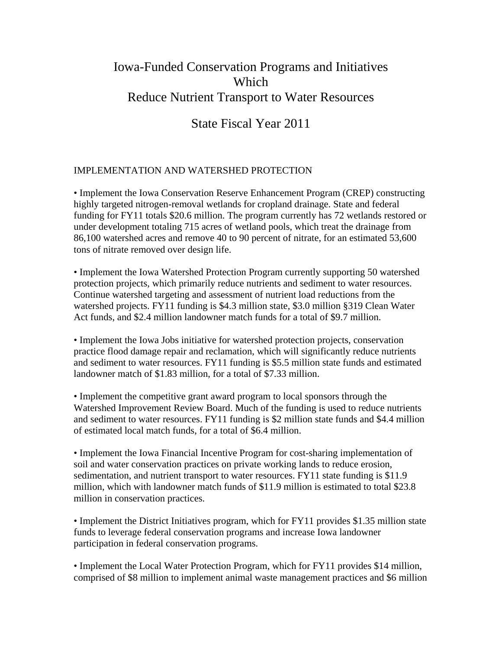# Iowa-Funded Conservation Programs and Initiatives Which Reduce Nutrient Transport to Water Resources

## State Fiscal Year 2011

### IMPLEMENTATION AND WATERSHED PROTECTION

• Implement the Iowa Conservation Reserve Enhancement Program (CREP) constructing highly targeted nitrogen-removal wetlands for cropland drainage. State and federal funding for FY11 totals \$20.6 million. The program currently has 72 wetlands restored or under development totaling 715 acres of wetland pools, which treat the drainage from 86,100 watershed acres and remove 40 to 90 percent of nitrate, for an estimated 53,600 tons of nitrate removed over design life.

• Implement the Iowa Watershed Protection Program currently supporting 50 watershed protection projects, which primarily reduce nutrients and sediment to water resources. Continue watershed targeting and assessment of nutrient load reductions from the watershed projects. FY11 funding is \$4.3 million state, \$3.0 million §319 Clean Water Act funds, and \$2.4 million landowner match funds for a total of \$9.7 million.

• Implement the Iowa Jobs initiative for watershed protection projects, conservation practice flood damage repair and reclamation, which will significantly reduce nutrients and sediment to water resources. FY11 funding is \$5.5 million state funds and estimated landowner match of \$1.83 million, for a total of \$7.33 million.

• Implement the competitive grant award program to local sponsors through the Watershed Improvement Review Board. Much of the funding is used to reduce nutrients and sediment to water resources. FY11 funding is \$2 million state funds and \$4.4 million of estimated local match funds, for a total of \$6.4 million.

• Implement the Iowa Financial Incentive Program for cost-sharing implementation of soil and water conservation practices on private working lands to reduce erosion, sedimentation, and nutrient transport to water resources. FY11 state funding is \$11.9 million, which with landowner match funds of \$11.9 million is estimated to total \$23.8 million in conservation practices.

• Implement the District Initiatives program, which for FY11 provides \$1.35 million state funds to leverage federal conservation programs and increase Iowa landowner participation in federal conservation programs.

• Implement the Local Water Protection Program, which for FY11 provides \$14 million, comprised of \$8 million to implement animal waste management practices and \$6 million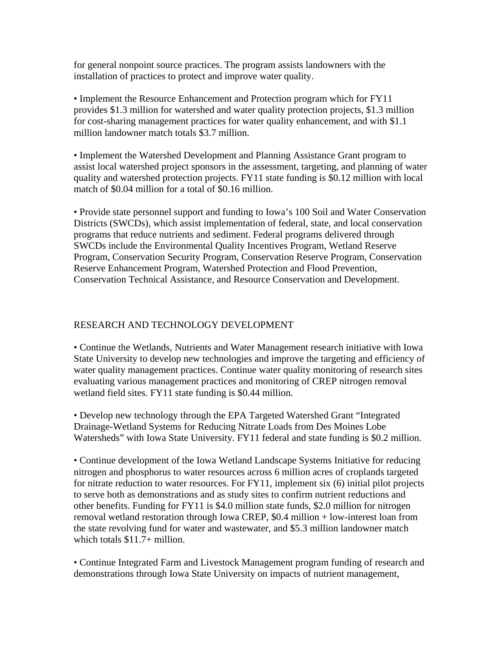for general nonpoint source practices. The program assists landowners with the installation of practices to protect and improve water quality.

• Implement the Resource Enhancement and Protection program which for FY11 provides \$1.3 million for watershed and water quality protection projects, \$1.3 million for cost-sharing management practices for water quality enhancement, and with \$1.1 million landowner match totals \$3.7 million.

• Implement the Watershed Development and Planning Assistance Grant program to assist local watershed project sponsors in the assessment, targeting, and planning of water quality and watershed protection projects. FY11 state funding is \$0.12 million with local match of \$0.04 million for a total of \$0.16 million.

• Provide state personnel support and funding to Iowa's 100 Soil and Water Conservation Districts (SWCDs), which assist implementation of federal, state, and local conservation programs that reduce nutrients and sediment. Federal programs delivered through SWCDs include the Environmental Quality Incentives Program, Wetland Reserve Program, Conservation Security Program, Conservation Reserve Program, Conservation Reserve Enhancement Program, Watershed Protection and Flood Prevention, Conservation Technical Assistance, and Resource Conservation and Development.

#### RESEARCH AND TECHNOLOGY DEVELOPMENT

• Continue the Wetlands, Nutrients and Water Management research initiative with Iowa State University to develop new technologies and improve the targeting and efficiency of water quality management practices. Continue water quality monitoring of research sites evaluating various management practices and monitoring of CREP nitrogen removal wetland field sites. FY11 state funding is \$0.44 million.

• Develop new technology through the EPA Targeted Watershed Grant "Integrated Drainage-Wetland Systems for Reducing Nitrate Loads from Des Moines Lobe Watersheds" with Iowa State University. FY11 federal and state funding is \$0.2 million.

• Continue development of the Iowa Wetland Landscape Systems Initiative for reducing nitrogen and phosphorus to water resources across 6 million acres of croplands targeted for nitrate reduction to water resources. For FY11, implement six (6) initial pilot projects to serve both as demonstrations and as study sites to confirm nutrient reductions and other benefits. Funding for FY11 is \$4.0 million state funds, \$2.0 million for nitrogen removal wetland restoration through Iowa CREP, \$0.4 million + low-interest loan from the state revolving fund for water and wastewater, and \$5.3 million landowner match which totals \$11.7+ million.

• Continue Integrated Farm and Livestock Management program funding of research and demonstrations through Iowa State University on impacts of nutrient management,